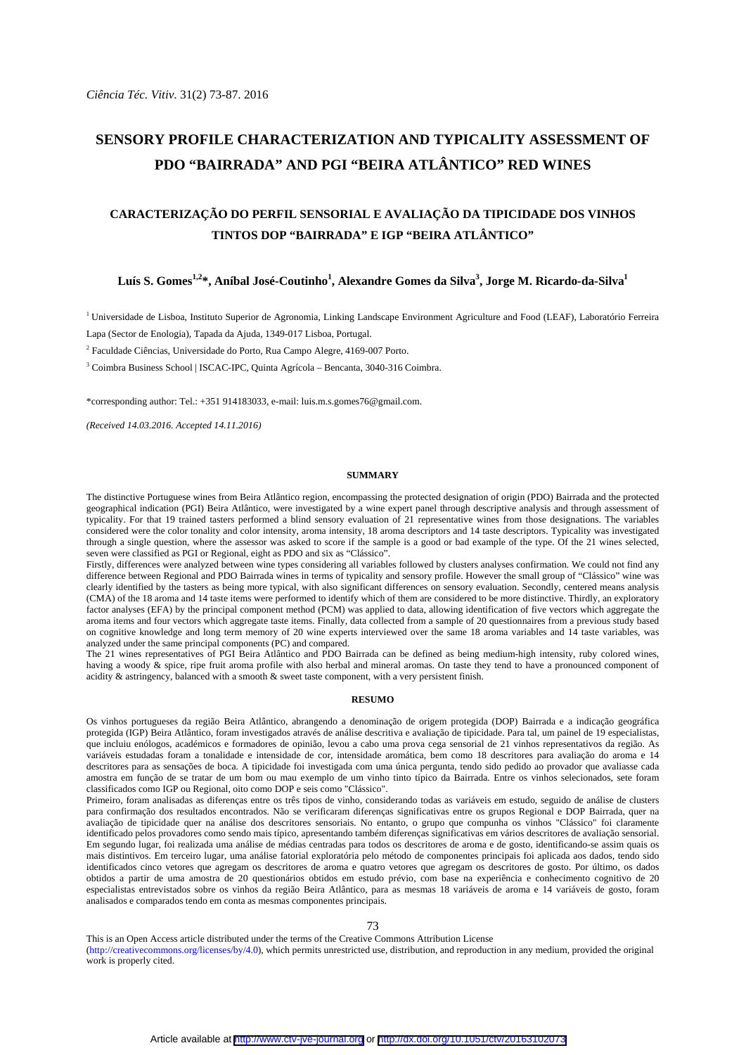# **SENSORY PROFILE CHARACTERIZATION AND TYPICALITY ASSESSMENT OF PDO "BAIRRADA" AND PGI "BEIRA ATLÂNTICO" RED WINES**

## **CARACTERIZAÇÃO DO PERFIL SENSORIAL E AVALIAÇÃO DA TIPICIDADE DOS VINHOS TINTOS DOP "BAIRRADA" E IGP "BEIRA ATLÂNTICO"**

## $\rm{Lu}$ ís S. Gomes $^{1,2*}$ , Aníbal José-Coutinho $^1$ , Alexandre Gomes da Silva $^3$ , Jorge M. Ricardo-da-Silva $^1$

1 Universidade de Lisboa, Instituto Superior de Agronomia, Linking Landscape Environment Agriculture and Food (LEAF), Laboratório Ferreira

Lapa (Sector de Enologia), Tapada da Ajuda, 1349-017 Lisboa, Portugal.

<sup>2</sup> Faculdade Ciências, Universidade do Porto, Rua Campo Alegre, 4169-007 Porto.

3 Coimbra Business School | ISCAC-IPC, Quinta Agrícola – Bencanta, 3040-316 Coimbra.

\*corresponding author: Tel.: +351 914183033, e-mail: luis.m.s.gomes76@gmail.com.

*(Received 14.03.2016. Accepted 14.11.2016)* 

#### **SUMMARY**

The distinctive Portuguese wines from Beira Atlântico region, encompassing the protected designation of origin (PDO) Bairrada and the protected geographical indication (PGI) Beira Atlântico, were investigated by a wine expert panel through descriptive analysis and through assessment of typicality. For that 19 trained tasters performed a blind sensory evaluation of 21 representative wines from those designations. The variables considered were the color tonality and color intensity, aroma intensity, 18 aroma descriptors and 14 taste descriptors. Typicality was investigated through a single question, where the assessor was asked to score if the sample is a good or bad example of the type. Of the 21 wines selected, seven were classified as PGI or Regional, eight as PDO and six as "Clássico".

Firstly, differences were analyzed between wine types considering all variables followed by clusters analyses confirmation. We could not find any difference between Regional and PDO Bairrada wines in terms of typicality and sensory profile. However the small group of "Clássico" wine was clearly identified by the tasters as being more typical, with also significant differences on sensory evaluation. Secondly, centered means analysis (CMA) of the 18 aroma and 14 taste items were performed to identify which of them are considered to be more distinctive. Thirdly, an exploratory factor analyses (EFA) by the principal component method (PCM) was applied to data, allowing identification of five vectors which aggregate the aroma items and four vectors which aggregate taste items. Finally, data collected from a sample of 20 questionnaires from a previous study based on cognitive knowledge and long term memory of 20 wine experts interviewed over the same 18 aroma variables and 14 taste variables, was analyzed under the same principal components (PC) and compared.

The 21 wines representatives of PGI Beira Atlântico and PDO Bairrada can be defined as being medium-high intensity, ruby colored wines, having a woody & spice, ripe fruit aroma profile with also herbal and mineral aromas. On taste they tend to have a pronounced component of acidity & astringency, balanced with a smooth & sweet taste component, with a very persistent finish.

#### **RESUMO**

Os vinhos portugueses da região Beira Atlântico, abrangendo a denominação de origem protegida (DOP) Bairrada e a indicação geográfica protegida (IGP) Beira Atlântico, foram investigados através de análise descritiva e avaliação de tipicidade. Para tal, um painel de 19 especialistas, que incluiu enólogos, académicos e formadores de opinião, levou a cabo uma prova cega sensorial de 21 vinhos representativos da região. As variáveis estudadas foram a tonalidade e intensidade de cor, intensidade aromática, bem como 18 descritores para avaliação do aroma e 14 descritores para as sensações de boca. A tipicidade foi investigada com uma única pergunta, tendo sido pedido ao provador que avaliasse cada amostra em função de se tratar de um bom ou mau exemplo de um vinho tinto típico da Bairrada. Entre os vinhos selecionados, sete foram classificados como IGP ou Regional, oito como DOP e seis como "Clássico".

Primeiro, foram analisadas as diferenças entre os três tipos de vinho, considerando todas as variáveis em estudo, seguido de análise de clusters para confirmação dos resultados encontrados. Não se verificaram diferenças significativas entre os grupos Regional e DOP Bairrada, quer na avaliação de tipicidade quer na análise dos descritores sensoriais. No entanto, o grupo que compunha os vinhos "Clássico" foi claramente identificado pelos provadores como sendo mais típico, apresentando também diferenças significativas em vários descritores de avaliação sensorial. Em segundo lugar, foi realizada uma análise de médias centradas para todos os descritores de aroma e de gosto, identificando-se assim quais os mais distintivos. Em terceiro lugar, uma análise fatorial exploratória pelo método de componentes principais foi aplicada aos dados, tendo sido identificados cinco vetores que agregam os descritores de aroma e quatro vetores que agregam os descritores de gosto. Por último, os dados obtidos a partir de uma amostra de 20 questionários obtidos em estudo prévio, com base na experiência e conhecimento cognitivo de 20 especialistas entrevistados sobre os vinhos da região Beira Atlântico, para as mesmas 18 variáveis de aroma e 14 variáveis de gosto, foram analisados e comparados tendo em conta as mesmas componentes principais.

73

This is an Open Access article distributed under the terms of the Creative Commons Attribution License

(http://creativecommons.org/licenses/by/4.0), which permits unrestricted use, distribution, and reproduction in any medium, provided the original work is properly cited.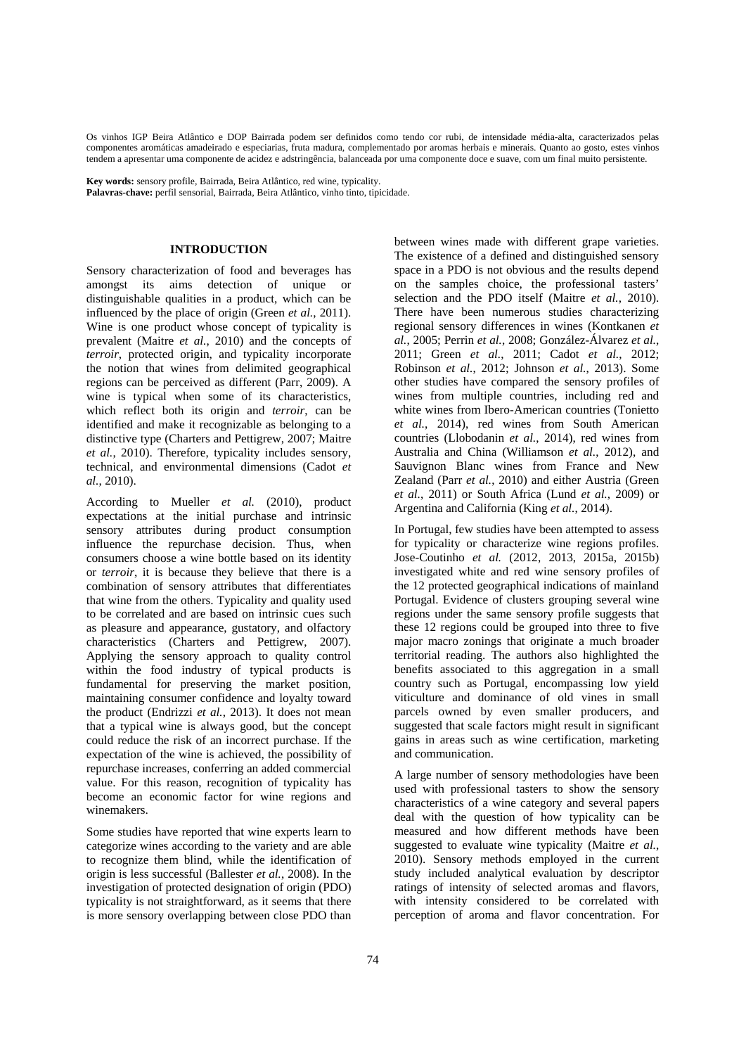Os vinhos IGP Beira Atlântico e DOP Bairrada podem ser definidos como tendo cor rubi, de intensidade média-alta, caracterizados pelas componentes aromáticas amadeirado e especiarias, fruta madura, complementado por aromas herbais e minerais. Quanto ao gosto, estes vinhos tendem a apresentar uma componente de acidez e adstringência, balanceada por uma componente doce e suave, com um final muito persistente.

**Key words:** sensory profile, Bairrada, Beira Atlântico, red wine, typicality.

**Palavras-chave:** perfil sensorial, Bairrada, Beira Atlântico, vinho tinto, tipicidade.

#### **INTRODUCTION**

Sensory characterization of food and beverages has amongst its aims detection of unique or distinguishable qualities in a product, which can be influenced by the place of origin (Green *et al.*, 2011). Wine is one product whose concept of typicality is prevalent (Maitre *et al.*, 2010) and the concepts of *terroir*, protected origin, and typicality incorporate the notion that wines from delimited geographical regions can be perceived as different (Parr, 2009). A wine is typical when some of its characteristics, which reflect both its origin and *terroir*, can be identified and make it recognizable as belonging to a distinctive type (Charters and Pettigrew, 2007; Maitre *et al.*, 2010). Therefore, typicality includes sensory, technical, and environmental dimensions (Cadot *et al.*, 2010).

According to Mueller *et al.* (2010), product expectations at the initial purchase and intrinsic sensory attributes during product consumption influence the repurchase decision. Thus, when consumers choose a wine bottle based on its identity or *terroir*, it is because they believe that there is a combination of sensory attributes that differentiates that wine from the others. Typicality and quality used to be correlated and are based on intrinsic cues such as pleasure and appearance, gustatory, and olfactory characteristics (Charters and Pettigrew, 2007). Applying the sensory approach to quality control within the food industry of typical products is fundamental for preserving the market position, maintaining consumer confidence and loyalty toward the product (Endrizzi *et al.*, 2013). It does not mean that a typical wine is always good, but the concept could reduce the risk of an incorrect purchase. If the expectation of the wine is achieved, the possibility of repurchase increases, conferring an added commercial value. For this reason, recognition of typicality has become an economic factor for wine regions and winemakers.

Some studies have reported that wine experts learn to categorize wines according to the variety and are able to recognize them blind, while the identification of origin is less successful (Ballester *et al.*, 2008). In the investigation of protected designation of origin (PDO) typicality is not straightforward, as it seems that there is more sensory overlapping between close PDO than between wines made with different grape varieties. The existence of a defined and distinguished sensory space in a PDO is not obvious and the results depend on the samples choice, the professional tasters' selection and the PDO itself (Maitre *et al.*, 2010). There have been numerous studies characterizing regional sensory differences in wines (Kontkanen *et al.*, 2005; Perrin *et al.*, 2008; González-Álvarez *et al.*, 2011; Green *et al.*, 2011; Cadot *et al.*, 2012; Robinson *et al.*, 2012; Johnson *et al.*, 2013). Some other studies have compared the sensory profiles of wines from multiple countries, including red and white wines from Ibero-American countries (Tonietto *et al.*, 2014), red wines from South American countries (Llobodanin *et al.*, 2014), red wines from Australia and China (Williamson *et al.*, 2012), and Sauvignon Blanc wines from France and New Zealand (Parr *et al.*, 2010) and either Austria (Green *et al.*, 2011) or South Africa (Lund *et al.*, 2009) or Argentina and California (King *et al.*, 2014).

In Portugal, few studies have been attempted to assess for typicality or characterize wine regions profiles. Jose-Coutinho *et al.* (2012, 2013, 2015a, 2015b) investigated white and red wine sensory profiles of the 12 protected geographical indications of mainland Portugal. Evidence of clusters grouping several wine regions under the same sensory profile suggests that these 12 regions could be grouped into three to five major macro zonings that originate a much broader territorial reading. The authors also highlighted the benefits associated to this aggregation in a small country such as Portugal, encompassing low yield viticulture and dominance of old vines in small parcels owned by even smaller producers, and suggested that scale factors might result in significant gains in areas such as wine certification, marketing and communication.

A large number of sensory methodologies have been used with professional tasters to show the sensory characteristics of a wine category and several papers deal with the question of how typicality can be measured and how different methods have been suggested to evaluate wine typicality (Maitre *et al.*, 2010). Sensory methods employed in the current study included analytical evaluation by descriptor ratings of intensity of selected aromas and flavors, with intensity considered to be correlated with perception of aroma and flavor concentration. For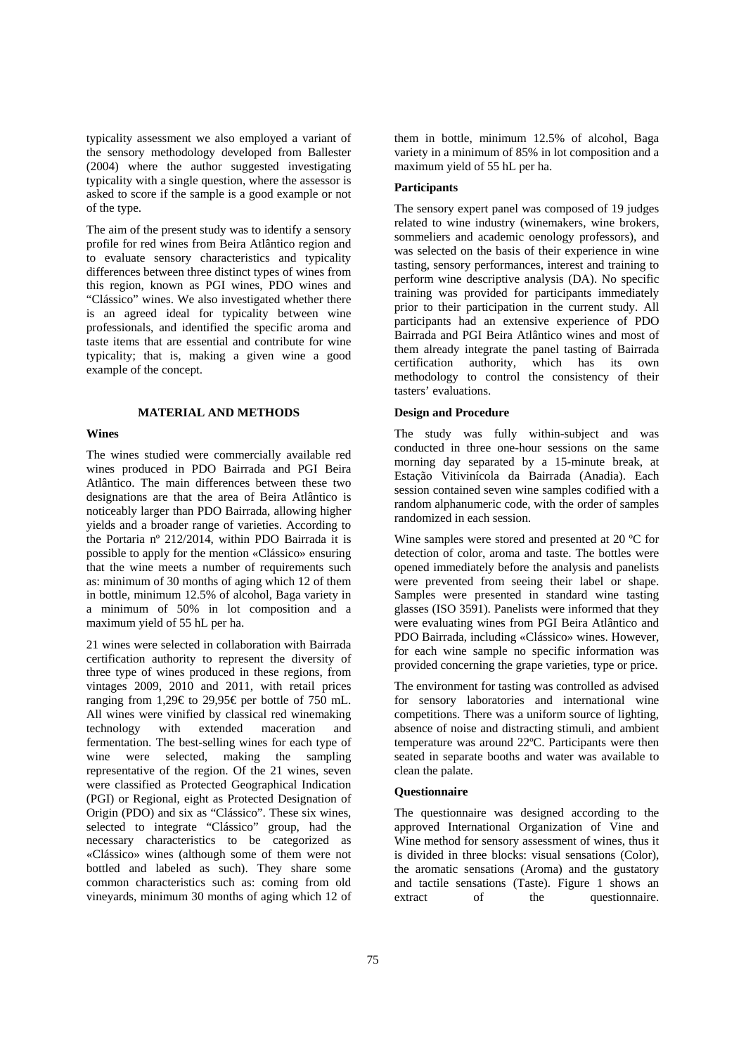typicality assessment we also employed a variant of the sensory methodology developed from Ballester (2004) where the author suggested investigating typicality with a single question, where the assessor is asked to score if the sample is a good example or not of the type.

The aim of the present study was to identify a sensory profile for red wines from Beira Atlântico region and to evaluate sensory characteristics and typicality differences between three distinct types of wines from this region, known as PGI wines, PDO wines and "Clássico" wines. We also investigated whether there is an agreed ideal for typicality between wine professionals, and identified the specific aroma and taste items that are essential and contribute for wine typicality; that is, making a given wine a good example of the concept.

## **MATERIAL AND METHODS**

## **Wines**

The wines studied were commercially available red wines produced in PDO Bairrada and PGI Beira Atlântico. The main differences between these two designations are that the area of Beira Atlântico is noticeably larger than PDO Bairrada, allowing higher yields and a broader range of varieties. According to the Portaria nº 212/2014, within PDO Bairrada it is possible to apply for the mention «Clássico» ensuring that the wine meets a number of requirements such as: minimum of 30 months of aging which 12 of them in bottle, minimum 12.5% of alcohol, Baga variety in a minimum of 50% in lot composition and a maximum yield of 55 hL per ha.

21 wines were selected in collaboration with Bairrada certification authority to represent the diversity of three type of wines produced in these regions, from vintages 2009, 2010 and 2011, with retail prices ranging from 1,29€ to 29,95€ per bottle of 750 mL. All wines were vinified by classical red winemaking technology with extended maceration and fermentation. The best-selling wines for each type of wine were selected, making the sampling representative of the region. Of the 21 wines, seven were classified as Protected Geographical Indication (PGI) or Regional, eight as Protected Designation of Origin (PDO) and six as "Clássico". These six wines, selected to integrate "Clássico" group, had the necessary characteristics to be categorized as «Clássico» wines (although some of them were not bottled and labeled as such). They share some common characteristics such as: coming from old vineyards, minimum 30 months of aging which 12 of them in bottle, minimum 12.5% of alcohol, Baga variety in a minimum of 85% in lot composition and a maximum yield of 55 hL per ha.

## **Participants**

The sensory expert panel was composed of 19 judges related to wine industry (winemakers, wine brokers, sommeliers and academic oenology professors), and was selected on the basis of their experience in wine tasting, sensory performances, interest and training to perform wine descriptive analysis (DA). No specific training was provided for participants immediately prior to their participation in the current study. All participants had an extensive experience of PDO Bairrada and PGI Beira Atlântico wines and most of them already integrate the panel tasting of Bairrada certification authority, which has its own methodology to control the consistency of their tasters' evaluations.

#### **Design and Procedure**

The study was fully within-subject and was conducted in three one-hour sessions on the same morning day separated by a 15-minute break, at Estação Vitivinícola da Bairrada (Anadia). Each session contained seven wine samples codified with a random alphanumeric code, with the order of samples randomized in each session.

Wine samples were stored and presented at 20 ºC for detection of color, aroma and taste. The bottles were opened immediately before the analysis and panelists were prevented from seeing their label or shape. Samples were presented in standard wine tasting glasses (ISO 3591). Panelists were informed that they were evaluating wines from PGI Beira Atlântico and PDO Bairrada, including «Clássico» wines. However, for each wine sample no specific information was provided concerning the grape varieties, type or price.

The environment for tasting was controlled as advised for sensory laboratories and international wine competitions. There was a uniform source of lighting, absence of noise and distracting stimuli, and ambient temperature was around 22ºC. Participants were then seated in separate booths and water was available to clean the palate.

## **Questionnaire**

The questionnaire was designed according to the approved International Organization of Vine and Wine method for sensory assessment of wines, thus it is divided in three blocks: visual sensations (Color), the aromatic sensations (Aroma) and the gustatory and tactile sensations (Taste). Figure 1 shows an extract of the questionnaire.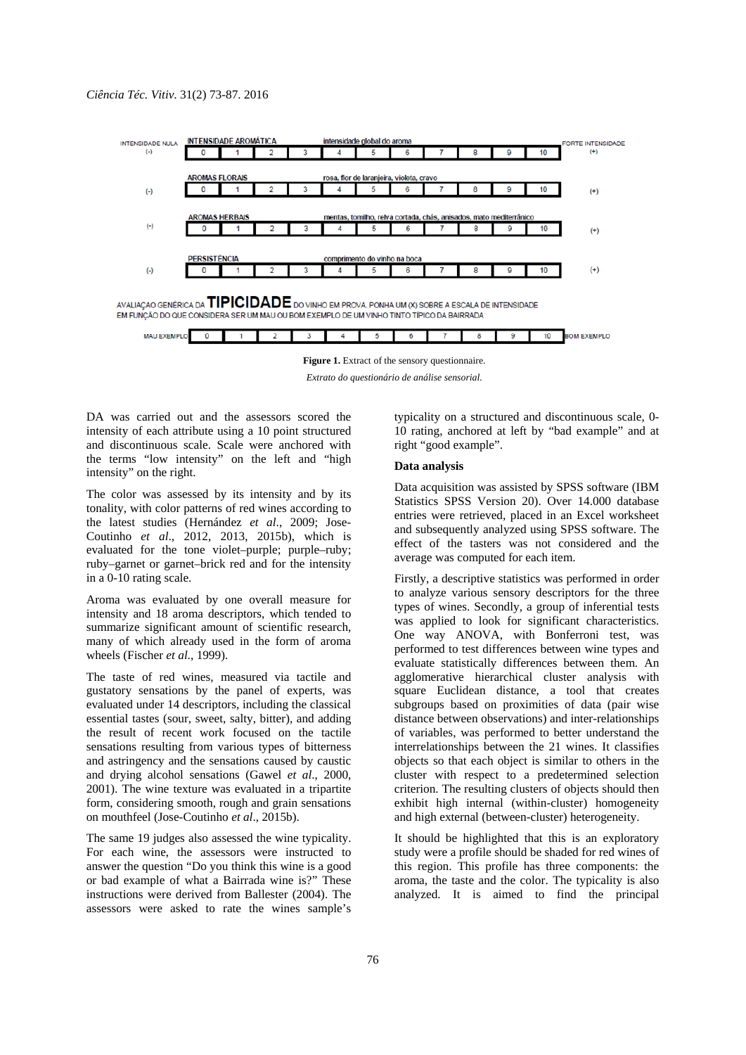

*Extrato do questionário de análise sensorial.* 

DA was carried out and the assessors scored the intensity of each attribute using a 10 point structured and discontinuous scale. Scale were anchored with the terms "low intensity" on the left and "high intensity" on the right.

The color was assessed by its intensity and by its tonality, with color patterns of red wines according to the latest studies (Hernández *et al*., 2009; Jose-Coutinho *et al*., 2012, 2013, 2015b), which is evaluated for the tone violet–purple; purple–ruby; ruby–garnet or garnet–brick red and for the intensity in a 0-10 rating scale.

Aroma was evaluated by one overall measure for intensity and 18 aroma descriptors, which tended to summarize significant amount of scientific research, many of which already used in the form of aroma wheels (Fischer *et al*., 1999).

The taste of red wines, measured via tactile and gustatory sensations by the panel of experts, was evaluated under 14 descriptors, including the classical essential tastes (sour, sweet, salty, bitter), and adding the result of recent work focused on the tactile sensations resulting from various types of bitterness and astringency and the sensations caused by caustic and drying alcohol sensations (Gawel *et al*., 2000, 2001). The wine texture was evaluated in a tripartite form, considering smooth, rough and grain sensations on mouthfeel (Jose-Coutinho *et al*., 2015b).

The same 19 judges also assessed the wine typicality. For each wine, the assessors were instructed to answer the question "Do you think this wine is a good or bad example of what a Bairrada wine is?" These instructions were derived from Ballester (2004). The assessors were asked to rate the wines sample's

typicality on a structured and discontinuous scale, 0- 10 rating, anchored at left by "bad example" and at right "good example".

## **Data analysis**

Data acquisition was assisted by SPSS software (IBM Statistics SPSS Version 20). Over 14.000 database entries were retrieved, placed in an Excel worksheet and subsequently analyzed using SPSS software. The effect of the tasters was not considered and the average was computed for each item.

Firstly, a descriptive statistics was performed in order to analyze various sensory descriptors for the three types of wines. Secondly, a group of inferential tests was applied to look for significant characteristics. One way ANOVA, with Bonferroni test, was performed to test differences between wine types and evaluate statistically differences between them. An agglomerative hierarchical cluster analysis with square Euclidean distance, a tool that creates subgroups based on proximities of data (pair wise distance between observations) and inter-relationships of variables, was performed to better understand the interrelationships between the 21 wines. It classifies objects so that each object is similar to others in the cluster with respect to a predetermined selection criterion. The resulting clusters of objects should then exhibit high internal (within-cluster) homogeneity and high external (between-cluster) heterogeneity.

It should be highlighted that this is an exploratory study were a profile should be shaded for red wines of this region. This profile has three components: the aroma, the taste and the color. The typicality is also analyzed. It is aimed to find the principal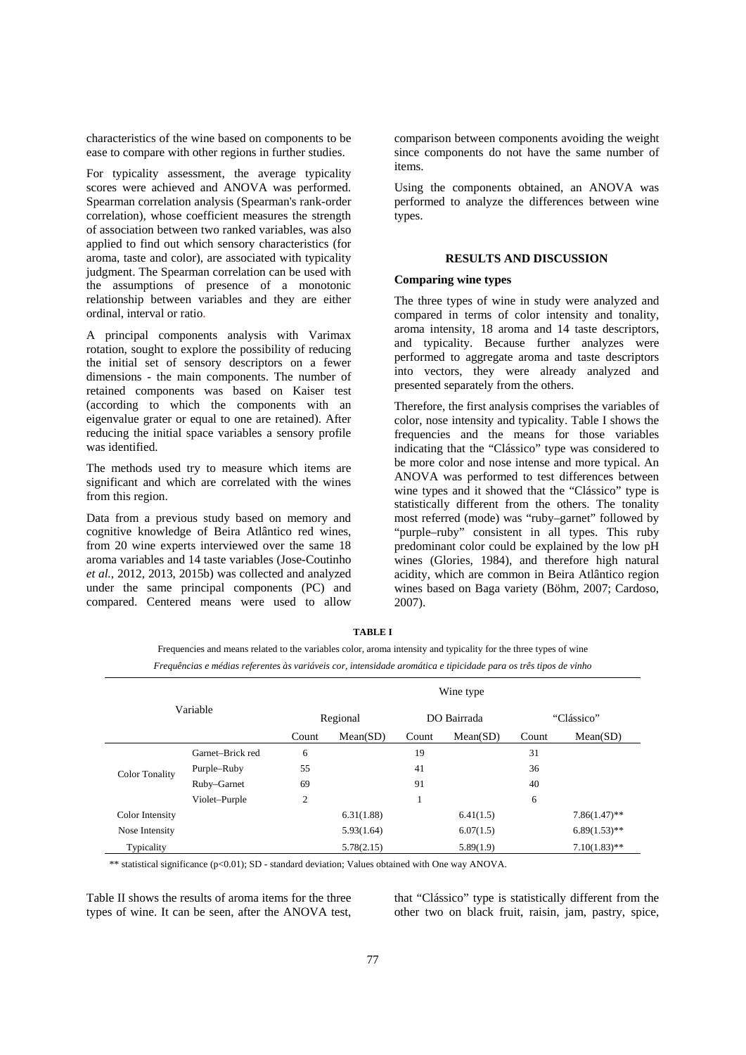characteristics of the wine based on components to be ease to compare with other regions in further studies.

For typicality assessment, the average typicality scores were achieved and ANOVA was performed. Spearman correlation analysis (Spearman's rank-order correlation), whose coefficient measures the strength of association between two ranked variables, was also applied to find out which sensory characteristics (for aroma, taste and color), are associated with typicality judgment. The Spearman correlation can be used with the assumptions of presence of a monotonic relationship between variables and they are either ordinal, interval or ratio.

A principal components analysis with Varimax rotation, sought to explore the possibility of reducing the initial set of sensory descriptors on a fewer dimensions - the main components. The number of retained components was based on Kaiser test (according to which the components with an eigenvalue grater or equal to one are retained). After reducing the initial space variables a sensory profile was identified.

The methods used try to measure which items are significant and which are correlated with the wines from this region.

Data from a previous study based on memory and cognitive knowledge of Beira Atlântico red wines, from 20 wine experts interviewed over the same 18 aroma variables and 14 taste variables (Jose-Coutinho *et al.*, 2012, 2013, 2015b) was collected and analyzed under the same principal components (PC) and compared. Centered means were used to allow comparison between components avoiding the weight since components do not have the same number of items.

Using the components obtained, an ANOVA was performed to analyze the differences between wine types.

## **RESULTS AND DISCUSSION**

## **Comparing wine types**

The three types of wine in study were analyzed and compared in terms of color intensity and tonality, aroma intensity, 18 aroma and 14 taste descriptors, and typicality. Because further analyzes were performed to aggregate aroma and taste descriptors into vectors, they were already analyzed and presented separately from the others.

Therefore, the first analysis comprises the variables of color, nose intensity and typicality. Table I shows the frequencies and the means for those variables indicating that the "Clássico" type was considered to be more color and nose intense and more typical. An ANOVA was performed to test differences between wine types and it showed that the "Clássico" type is statistically different from the others. The tonality most referred (mode) was "ruby–garnet" followed by "purple–ruby" consistent in all types. This ruby predominant color could be explained by the low pH wines (Glories, 1984), and therefore high natural acidity, which are common in Beira Atlântico region wines based on Baga variety (Böhm, 2007; Cardoso, 2007).

| Variable              |                  | Wine type |            |             |           |            |                 |  |
|-----------------------|------------------|-----------|------------|-------------|-----------|------------|-----------------|--|
|                       |                  | Regional  |            | DO Bairrada |           | "Clássico" |                 |  |
|                       |                  | Count     | Mean(SD)   | Count       | Mean(SD)  | Count      | Mean(SD)        |  |
|                       | Garnet-Brick red | 6         |            | 19          |           | 31         |                 |  |
| <b>Color Tonality</b> | Purple–Ruby      | 55        |            | 41          |           | 36         |                 |  |
|                       | Ruby-Garnet      | 69        |            | 91          |           | 40         |                 |  |
|                       | Violet-Purple    | 2         |            | 1           |           | 6          |                 |  |
| Color Intensity       |                  |           | 6.31(1.88) |             | 6.41(1.5) |            | $7.86(1.47)$ ** |  |
| Nose Intensity        |                  |           | 5.93(1.64) |             | 6.07(1.5) |            | $6.89(1.53)$ ** |  |
| Typicality            |                  |           | 5.78(2.15) |             | 5.89(1.9) |            | $7.10(1.83)$ ** |  |

**TABLE I**

Frequencies and means related to the variables color, aroma intensity and typicality for the three types of wine

*Frequências e médias referentes às variáveis cor, intensidade aromática e tipicidade para os três tipos de vinho*

\*\* statistical significance (p<0.01); SD - standard deviation; Values obtained with One way ANOVA.

Table II shows the results of aroma items for the three types of wine. It can be seen, after the ANOVA test, that "Clássico" type is statistically different from the other two on black fruit, raisin, jam, pastry, spice,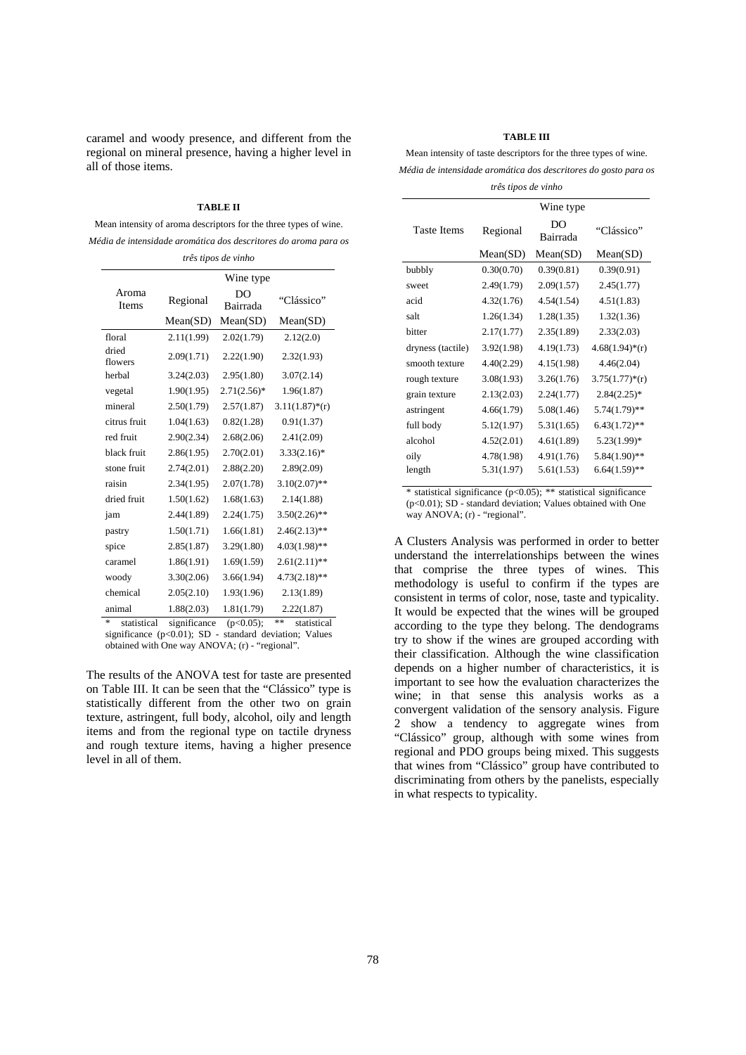caramel and woody presence, and different from the regional on mineral presence, having a higher level in all of those items.

#### **TABLE II**

Mean intensity of aroma descriptors for the three types of wine. *Média de intensidade aromática dos descritores do aroma para os* 

| três tipos de vinho                     |                                 |                          |                                   |  |  |
|-----------------------------------------|---------------------------------|--------------------------|-----------------------------------|--|--|
|                                         |                                 | Wine type                |                                   |  |  |
| Aroma<br>Items                          | Regional                        | DO<br>Bairrada           | "Clássico"                        |  |  |
|                                         | Mean(SD)                        | Mean(SD)                 | Mean(SD)                          |  |  |
| floral                                  | 2.11(1.99)                      | 2.02(1.79)               | 2.12(2.0)                         |  |  |
| dried<br>flowers                        | 2.09(1.71)                      | 2.22(1.90)               | 2.32(1.93)                        |  |  |
| herbal                                  | 3.24(2.03)                      | 2.95(1.80)               | 3.07(2.14)                        |  |  |
| vegetal                                 | 1.90(1.95)                      | $2.71(2.56)^*$           | 1.96(1.87)                        |  |  |
| mineral                                 | 2.50(1.79)                      | 2.57(1.87)               | $3.11(1.87)*(r)$                  |  |  |
| citrus fruit                            | 1.04(1.63)                      | 0.82(1.28)               | 0.91(1.37)                        |  |  |
| red fruit                               | 2.90(2.34)                      | 2.68(2.06)               | 2.41(2.09)                        |  |  |
| black fruit                             | 2.86(1.95)                      | 2.70(2.01)               | $3.33(2.16)^*$                    |  |  |
| stone fruit                             | 2.74(2.01)                      | 2.88(2.20)               | 2.89(2.09)                        |  |  |
| raisin                                  | 2.34(1.95)                      | 2.07(1.78)               | $3.10(2.07)$ **                   |  |  |
| dried fruit                             | 1.50(1.62)                      | 1.68(1.63)               | 2.14(1.88)                        |  |  |
| jam                                     | 2.44(1.89)                      | 2.24(1.75)               | $3.50(2.26)$ **                   |  |  |
| pastry                                  | 1.50(1.71)                      | 1.66(1.81)               | $2.46(2.13)$ **                   |  |  |
| spice                                   | 2.85(1.87)                      | 3.29(1.80)               | $4.03(1.98)$ **                   |  |  |
| caramel                                 | 1.86(1.91)                      | 1.69(1.59)               | $2.61(2.11)$ **                   |  |  |
| woody                                   | 3.30(2.06)                      | 3.66(1.94)               | $4.73(2.18)$ **                   |  |  |
| chemical                                | 2.05(2.10)                      | 1.93(1.96)               | 2.13(1.89)                        |  |  |
| animal                                  | 1.88(2.03)                      | 1.81(1.79)               | 2.22(1.87)                        |  |  |
| and and<br>$\mathbf{I}$<br>$\mathbf{d}$ | $\cdot$ $\cdot$ $\cdot$ $\cdot$ | $\Omega$ $\Omega$ $\sim$ | مله مله<br>and the control of the |  |  |

statistical significance  $(p<0.05)$ ; \*\* statistical significance (p<0.01); SD - standard deviation; Values obtained with One way ANOVA; (r) - "regional".

The results of the ANOVA test for taste are presented on Table III. It can be seen that the "Clássico" type is statistically different from the other two on grain texture, astringent, full body, alcohol, oily and length items and from the regional type on tactile dryness and rough texture items, having a higher presence level in all of them.

#### **TABLE III**

Mean intensity of taste descriptors for the three types of wine. *Média de intensidade aromática dos descritores do gosto para os* 

*três tipos de vinho* 

|                    |            | Wine type      |                  |
|--------------------|------------|----------------|------------------|
| <b>Taste Items</b> | Regional   | DO<br>Bairrada | "Clássico"       |
|                    | Mean(SD)   | Mean(SD)       | Mean(SD)         |
| bubbly             | 0.30(0.70) | 0.39(0.81)     | 0.39(0.91)       |
| sweet              | 2.49(1.79) | 2.09(1.57)     | 2.45(1.77)       |
| acid               | 4.32(1.76) | 4.54(1.54)     | 4.51(1.83)       |
| salt               | 1.26(1.34) | 1.28(1.35)     | 1.32(1.36)       |
| bitter             | 2.17(1.77) | 2.35(1.89)     | 2.33(2.03)       |
| dryness (tactile)  | 3.92(1.98) | 4.19(1.73)     | $4.68(1.94)*(r)$ |
| smooth texture     | 4.40(2.29) | 4.15(1.98)     | 4.46(2.04)       |
| rough texture      | 3.08(1.93) | 3.26(1.76)     | $3.75(1.77)*(r)$ |
| grain texture      | 2.13(2.03) | 2.24(1.77)     | $2.84(2.25)$ *   |
| astringent         | 4.66(1.79) | 5.08(1.46)     | $5.74(1.79)$ **  |
| full body          | 5.12(1.97) | 5.31(1.65)     | $6.43(1.72)$ **  |
| alcohol            | 4.52(2.01) | 4.61(1.89)     | $5.23(1.99)$ *   |
| oily               | 4.78(1.98) | 4.91(1.76)     | $5.84(1.90)$ **  |
| length             | 5.31(1.97) | 5.61(1.53)     | $6.64(1.59)$ **  |
|                    |            |                |                  |

\* statistical significance (p<0.05); \*\* statistical significance  $(p<0.01)$ ; SD - standard deviation; Values obtained with One way ANOVA; (r) - "regional".

A Clusters Analysis was performed in order to better understand the interrelationships between the wines that comprise the three types of wines. This methodology is useful to confirm if the types are consistent in terms of color, nose, taste and typicality. It would be expected that the wines will be grouped according to the type they belong. The dendograms try to show if the wines are grouped according with their classification. Although the wine classification depends on a higher number of characteristics, it is important to see how the evaluation characterizes the wine; in that sense this analysis works as a convergent validation of the sensory analysis. Figure 2 show a tendency to aggregate wines from "Clássico" group, although with some wines from regional and PDO groups being mixed. This suggests that wines from "Clássico" group have contributed to discriminating from others by the panelists, especially in what respects to typicality.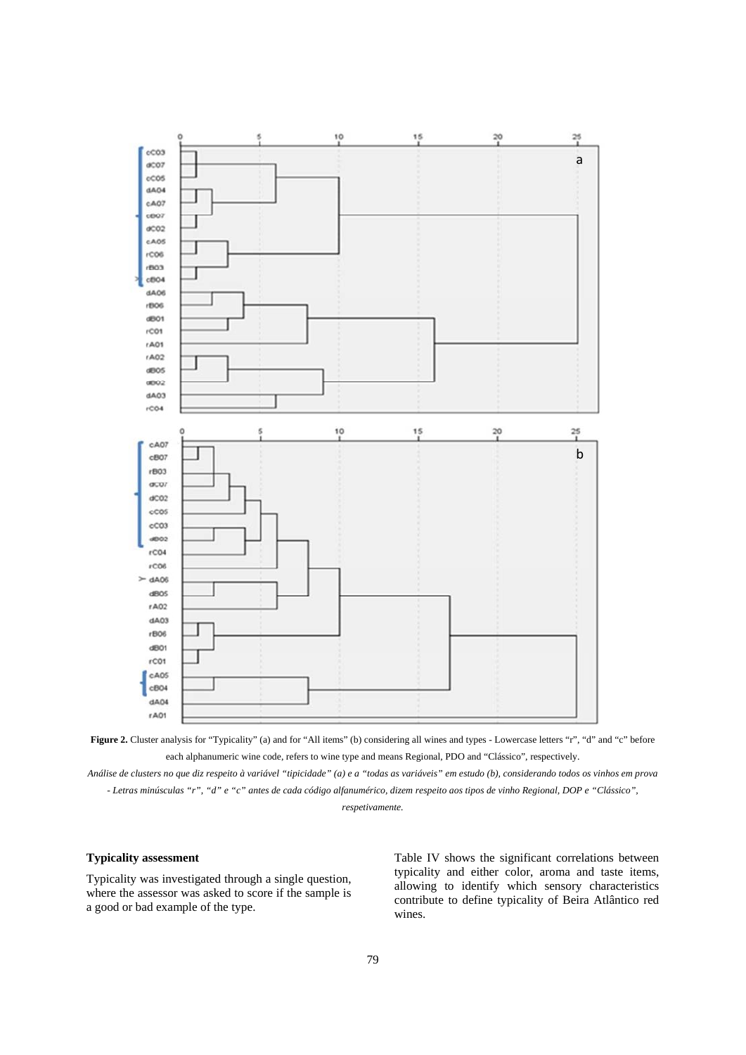



*Análise de clusters no que diz respeito à variável "tipicidade" (a) e a "todas as variáveis" em estudo (b), considerando todos os vinhos em prova - Letras minúsculas "r", "d" e "c" antes de cada código alfanumérico, dizem respeito aos tipos de vinho Regional, DOP e "Clássico",* 

*respetivamente.* 

## **Typicality assessment**

Typicality was investigated through a single question, where the assessor was asked to score if the sample is a good or bad example of the type.

Table IV shows the significant correlations between typicality and either color, aroma and taste items, allowing to identify which sensory characteristics contribute to define typicality of Beira Atlântico red wines.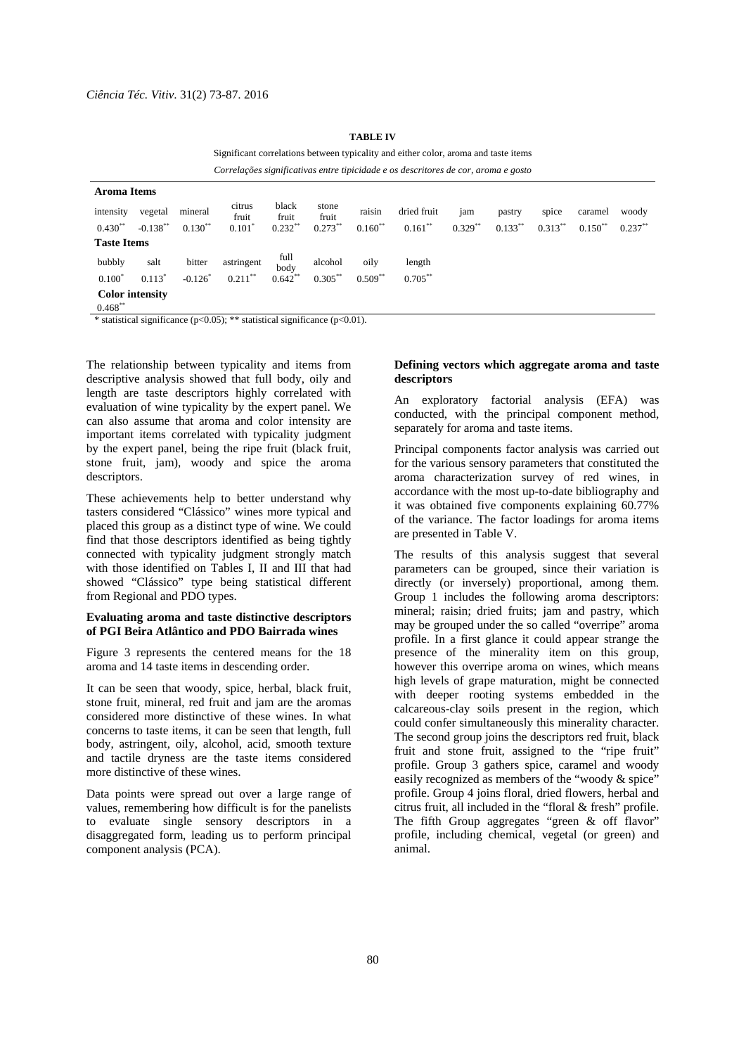| Correlações significativas entre tipicidade e os descritores de cor, aroma e gosto |             |           |                      |                |                |           |             |            |            |            |            |            |
|------------------------------------------------------------------------------------|-------------|-----------|----------------------|----------------|----------------|-----------|-------------|------------|------------|------------|------------|------------|
| <b>Aroma Items</b>                                                                 |             |           |                      |                |                |           |             |            |            |            |            |            |
| intensity                                                                          | vegetal     | mineral   | citrus<br>fruit      | black<br>fruit | stone<br>fruit | raisin    | dried fruit | jam        | pastry     | spice      | caramel    | woody      |
| $0.430**$                                                                          | $-0.138***$ | $0.130**$ | $0.101$ <sup>*</sup> | $0.232**$      | $0.273***$     | $0.160**$ | $0.161***$  | $0.329***$ | $0.133***$ | $0.313***$ | $0.150***$ | $0.237***$ |
| <b>Taste Items</b>                                                                 |             |           |                      |                |                |           |             |            |            |            |            |            |
| bubbly                                                                             | salt        | bitter    | astringent           | full<br>body   | alcohol        | oily      | length      |            |            |            |            |            |
| $0.100^*$                                                                          | $0.113*$    | $-0.126$  | $0.211***$           | $0.642**$      | $0.305***$     | $0.509**$ | $0.705***$  |            |            |            |            |            |
| <b>Color intensity</b>                                                             |             |           |                      |                |                |           |             |            |            |            |            |            |
| $0.468***$<br>.                                                                    |             |           |                      |                | $\sqrt{2}$     |           |             |            |            |            |            |            |

**TABLE IV** 

Significant correlations between typicality and either color, aroma and taste items

*Correlações significativas entre tipicidade e os descritores de cor, aroma e gosto* 

\* statistical significance (p<0.05); \*\* statistical significance (p<0.01).

The relationship between typicality and items from descriptive analysis showed that full body, oily and length are taste descriptors highly correlated with evaluation of wine typicality by the expert panel. We can also assume that aroma and color intensity are important items correlated with typicality judgment by the expert panel, being the ripe fruit (black fruit, stone fruit, jam), woody and spice the aroma descriptors.

These achievements help to better understand why tasters considered "Clássico" wines more typical and placed this group as a distinct type of wine. We could find that those descriptors identified as being tightly connected with typicality judgment strongly match with those identified on Tables I, II and III that had showed "Clássico" type being statistical different from Regional and PDO types.

## **Evaluating aroma and taste distinctive descriptors of PGI Beira Atlântico and PDO Bairrada wines**

Figure 3 represents the centered means for the 18 aroma and 14 taste items in descending order.

It can be seen that woody, spice, herbal, black fruit, stone fruit, mineral, red fruit and jam are the aromas considered more distinctive of these wines. In what concerns to taste items, it can be seen that length, full body, astringent, oily, alcohol, acid, smooth texture and tactile dryness are the taste items considered more distinctive of these wines.

Data points were spread out over a large range of values, remembering how difficult is for the panelists to evaluate single sensory descriptors in a disaggregated form, leading us to perform principal component analysis (PCA).

## **Defining vectors which aggregate aroma and taste descriptors**

An exploratory factorial analysis (EFA) was conducted, with the principal component method, separately for aroma and taste items.

Principal components factor analysis was carried out for the various sensory parameters that constituted the aroma characterization survey of red wines, in accordance with the most up-to-date bibliography and it was obtained five components explaining 60.77% of the variance. The factor loadings for aroma items are presented in Table V.

The results of this analysis suggest that several parameters can be grouped, since their variation is directly (or inversely) proportional, among them. Group 1 includes the following aroma descriptors: mineral; raisin; dried fruits; jam and pastry, which may be grouped under the so called "overripe" aroma profile. In a first glance it could appear strange the presence of the minerality item on this group, however this overripe aroma on wines, which means high levels of grape maturation, might be connected with deeper rooting systems embedded in the calcareous-clay soils present in the region, which could confer simultaneously this minerality character. The second group joins the descriptors red fruit, black fruit and stone fruit, assigned to the "ripe fruit" profile. Group 3 gathers spice, caramel and woody easily recognized as members of the "woody & spice" profile. Group 4 joins floral, dried flowers, herbal and citrus fruit, all included in the "floral & fresh" profile. The fifth Group aggregates "green & off flavor" profile, including chemical, vegetal (or green) and animal.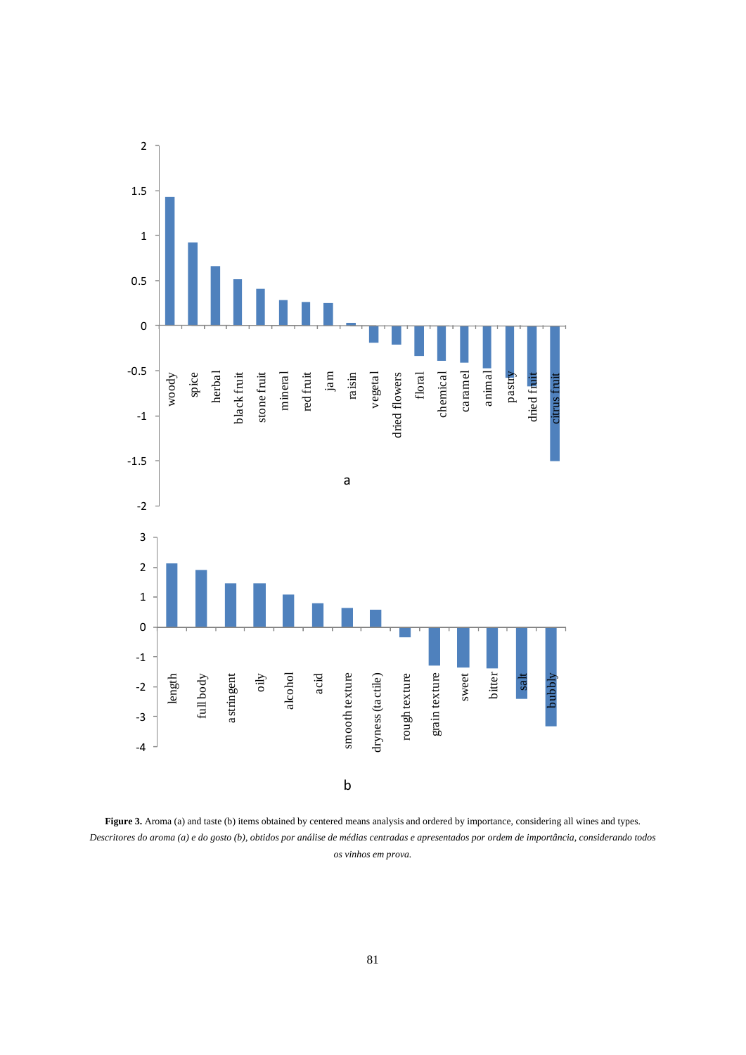

Figure 3. Aroma (a) and taste (b) items obtained by centered means analysis and ordered by importance, considering all wines and types. *Descritores do aroma (a) e do gosto (b), obtidos por análise de médias centradas e apresentados por ordem de importância, considerando todos os vinhos em prova.*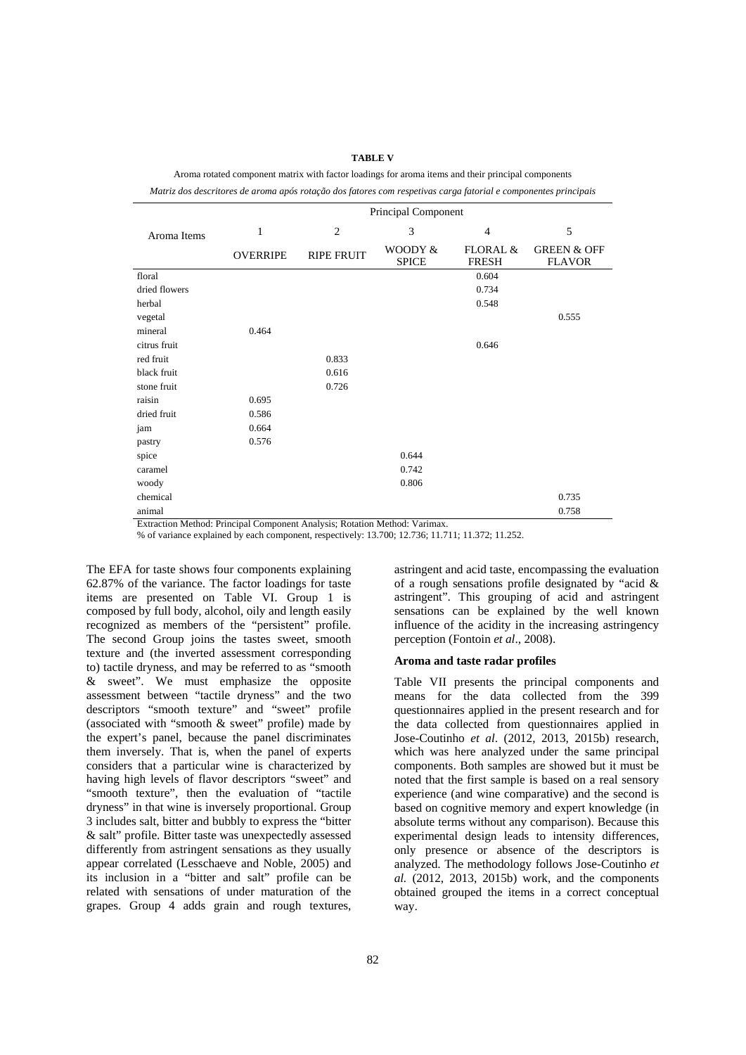#### **TABLE V**

Aroma rotated component matrix with factor loadings for aroma items and their principal components

*Matriz dos descritores de aroma após rotação dos fatores com respetivas carga fatorial e componentes principais* 

|               | Principal Component |                   |                         |                          |                                         |  |  |
|---------------|---------------------|-------------------|-------------------------|--------------------------|-----------------------------------------|--|--|
| Aroma Items   | $\mathbf{1}$        | $\overline{2}$    | 3                       | $\overline{4}$           | 5                                       |  |  |
|               | <b>OVERRIPE</b>     | <b>RIPE FRUIT</b> | WOODY &<br><b>SPICE</b> | FLORAL &<br><b>FRESH</b> | <b>GREEN &amp; OFF</b><br><b>FLAVOR</b> |  |  |
| floral        |                     |                   |                         | 0.604                    |                                         |  |  |
| dried flowers |                     |                   |                         | 0.734                    |                                         |  |  |
| herbal        |                     |                   |                         | 0.548                    |                                         |  |  |
| vegetal       |                     |                   |                         |                          | 0.555                                   |  |  |
| mineral       | 0.464               |                   |                         |                          |                                         |  |  |
| citrus fruit  |                     |                   |                         | 0.646                    |                                         |  |  |
| red fruit     |                     | 0.833             |                         |                          |                                         |  |  |
| black fruit   |                     | 0.616             |                         |                          |                                         |  |  |
| stone fruit   |                     | 0.726             |                         |                          |                                         |  |  |
| raisin        | 0.695               |                   |                         |                          |                                         |  |  |
| dried fruit   | 0.586               |                   |                         |                          |                                         |  |  |
| jam           | 0.664               |                   |                         |                          |                                         |  |  |
| pastry        | 0.576               |                   |                         |                          |                                         |  |  |
| spice         |                     |                   | 0.644                   |                          |                                         |  |  |
| caramel       |                     |                   | 0.742                   |                          |                                         |  |  |
| woody         |                     |                   | 0.806                   |                          |                                         |  |  |
| chemical      |                     |                   |                         |                          | 0.735                                   |  |  |
| animal        |                     |                   |                         |                          | 0.758                                   |  |  |

Extraction Method: Principal Component Analysis; Rotation Method: Varimax.

% of variance explained by each component, respectively: 13.700; 12.736; 11.711; 11.372; 11.252.

The EFA for taste shows four components explaining 62.87% of the variance. The factor loadings for taste items are presented on Table VI. Group 1 is composed by full body, alcohol, oily and length easily recognized as members of the "persistent" profile. The second Group joins the tastes sweet, smooth texture and (the inverted assessment corresponding to) tactile dryness, and may be referred to as "smooth & sweet". We must emphasize the opposite assessment between "tactile dryness" and the two descriptors "smooth texture" and "sweet" profile (associated with "smooth & sweet" profile) made by the expert's panel, because the panel discriminates them inversely. That is, when the panel of experts considers that a particular wine is characterized by having high levels of flavor descriptors "sweet" and "smooth texture", then the evaluation of "tactile dryness" in that wine is inversely proportional. Group 3 includes salt, bitter and bubbly to express the "bitter & salt" profile. Bitter taste was unexpectedly assessed differently from astringent sensations as they usually appear correlated (Lesschaeve and Noble, 2005) and its inclusion in a "bitter and salt" profile can be related with sensations of under maturation of the grapes. Group 4 adds grain and rough textures,

astringent". This grouping of acid and astringent sensations can be explained by the well known influence of the acidity in the increasing astringency perception (Fontoin *et al*., 2008). **Aroma and taste radar profiles** 

astringent and acid taste, encompassing the evaluation of a rough sensations profile designated by "acid &

Table VII presents the principal components and means for the data collected from the 399 questionnaires applied in the present research and for the data collected from questionnaires applied in Jose-Coutinho *et al*. (2012, 2013, 2015b) research, which was here analyzed under the same principal components. Both samples are showed but it must be noted that the first sample is based on a real sensory experience (and wine comparative) and the second is based on cognitive memory and expert knowledge (in absolute terms without any comparison). Because this experimental design leads to intensity differences, only presence or absence of the descriptors is analyzed. The methodology follows Jose-Coutinho *et al.* (2012, 2013, 2015b) work, and the components obtained grouped the items in a correct conceptual way.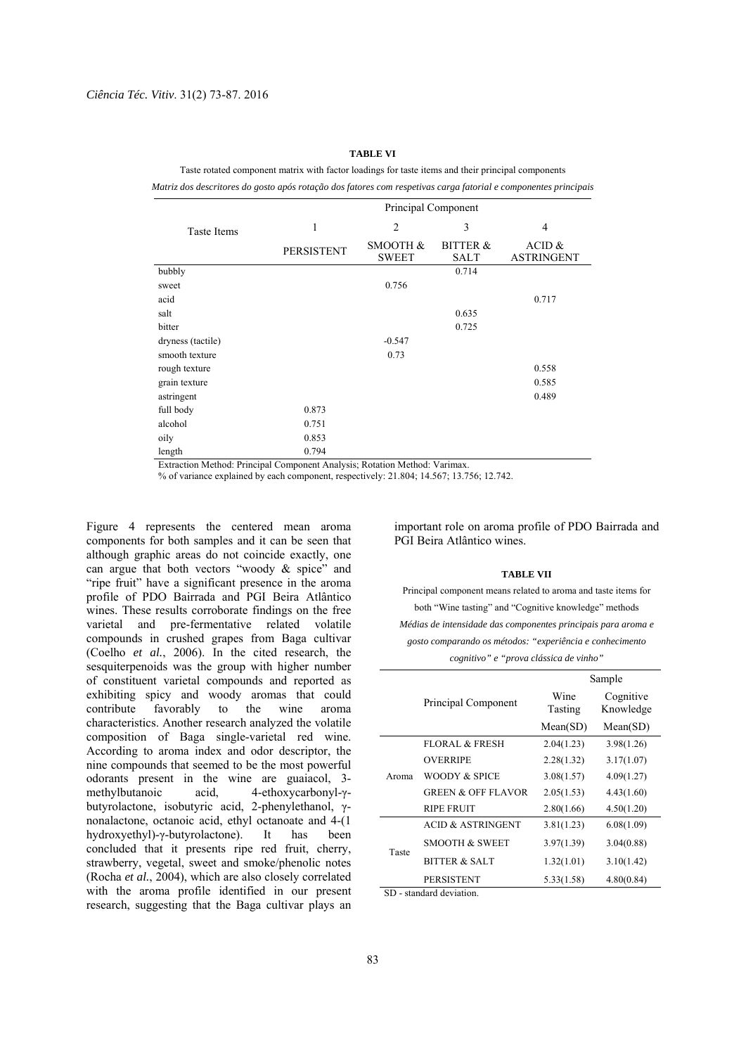#### **TABLE VI**

Taste rotated component matrix with factor loadings for taste items and their principal components

*Matriz dos descritores do gosto após rotação dos fatores com respetivas carga fatorial e componentes principais* 

|                    |                   | Principal Component      |                                    |                               |
|--------------------|-------------------|--------------------------|------------------------------------|-------------------------------|
| <b>Taste Items</b> | 1                 | $\overline{2}$           | 3                                  | $\overline{4}$                |
|                    | <b>PERSISTENT</b> | SMOOTH &<br><b>SWEET</b> | <b>BITTER &amp;</b><br><b>SALT</b> | ACID $&$<br><b>ASTRINGENT</b> |
| bubbly             |                   |                          | 0.714                              |                               |
| sweet              |                   | 0.756                    |                                    |                               |
| acid               |                   |                          |                                    | 0.717                         |
| salt               |                   |                          | 0.635                              |                               |
| bitter             |                   |                          | 0.725                              |                               |
| dryness (tactile)  |                   | $-0.547$                 |                                    |                               |
| smooth texture     |                   | 0.73                     |                                    |                               |
| rough texture      |                   |                          |                                    | 0.558                         |
| grain texture      |                   |                          |                                    | 0.585                         |
| astringent         |                   |                          |                                    | 0.489                         |
| full body          | 0.873             |                          |                                    |                               |
| alcohol            | 0.751             |                          |                                    |                               |
| oily               | 0.853             |                          |                                    |                               |
| length             | 0.794             |                          |                                    |                               |

Extraction Method: Principal Component Analysis; Rotation Method: Varimax.

% of variance explained by each component, respectively: 21.804; 14.567; 13.756; 12.742.

Figure 4 represents the centered mean aroma components for both samples and it can be seen that although graphic areas do not coincide exactly, one can argue that both vectors "woody & spice" and "ripe fruit" have a significant presence in the aroma profile of PDO Bairrada and PGI Beira Atlântico wines. These results corroborate findings on the free varietal and pre-fermentative related volatile compounds in crushed grapes from Baga cultivar (Coelho *et al.*, 2006). In the cited research, the sesquiterpenoids was the group with higher number of constituent varietal compounds and reported as exhibiting spicy and woody aromas that could contribute favorably to the wine aroma characteristics. Another research analyzed the volatile composition of Baga single-varietal red wine. According to aroma index and odor descriptor, the nine compounds that seemed to be the most powerful odorants present in the wine are guaiacol, 3 methylbutanoic acid, 4-ethoxycarbonyl-γbutyrolactone, isobutyric acid, 2-phenylethanol, γnonalactone, octanoic acid, ethyl octanoate and 4-(1 hydroxyethyl)-γ-butyrolactone). It has been concluded that it presents ripe red fruit, cherry, strawberry, vegetal, sweet and smoke/phenolic notes (Rocha *et al.*, 2004), which are also closely correlated with the aroma profile identified in our present research, suggesting that the Baga cultivar plays an important role on aroma profile of PDO Bairrada and PGI Beira Atlântico wines.

#### **TABLE VII**

Principal component means related to aroma and taste items for both "Wine tasting" and "Cognitive knowledge" methods *Médias de intensidade das componentes principais para aroma e gosto comparando os métodos: "experiência e conhecimento cognitivo" e "prova clássica de vinho"* 

|       |                               |                 | Sample                 |  |
|-------|-------------------------------|-----------------|------------------------|--|
|       | Principal Component           | Wine<br>Tasting | Cognitive<br>Knowledge |  |
|       |                               | Mean(SD)        | Mean(SD)               |  |
|       | <b>FLORAL &amp; FRESH</b>     | 2.04(1.23)      | 3.98(1.26)             |  |
| Aroma | <b>OVERRIPE</b>               | 2.28(1.32)      | 3.17(1.07)             |  |
|       | WOODY & SPICE                 | 3.08(1.57)      | 4.09(1.27)             |  |
|       | <b>GREEN &amp; OFF FLAVOR</b> | 2.05(1.53)      | 4.43(1.60)             |  |
|       | <b>RIPE FRUIT</b>             | 2.80(1.66)      | 4.50(1.20)             |  |
|       | <b>ACID &amp; ASTRINGENT</b>  | 3.81(1.23)      | 6.08(1.09)             |  |
|       | <b>SMOOTH &amp; SWEET</b>     | 3.97(1.39)      | 3.04(0.88)             |  |
| Taste | <b>BITTER &amp; SALT</b>      | 1.32(1.01)      | 3.10(1.42)             |  |
|       | <b>PERSISTENT</b>             | 5.33(1.58)      | 4.80(0.84)             |  |

SD - standard deviation.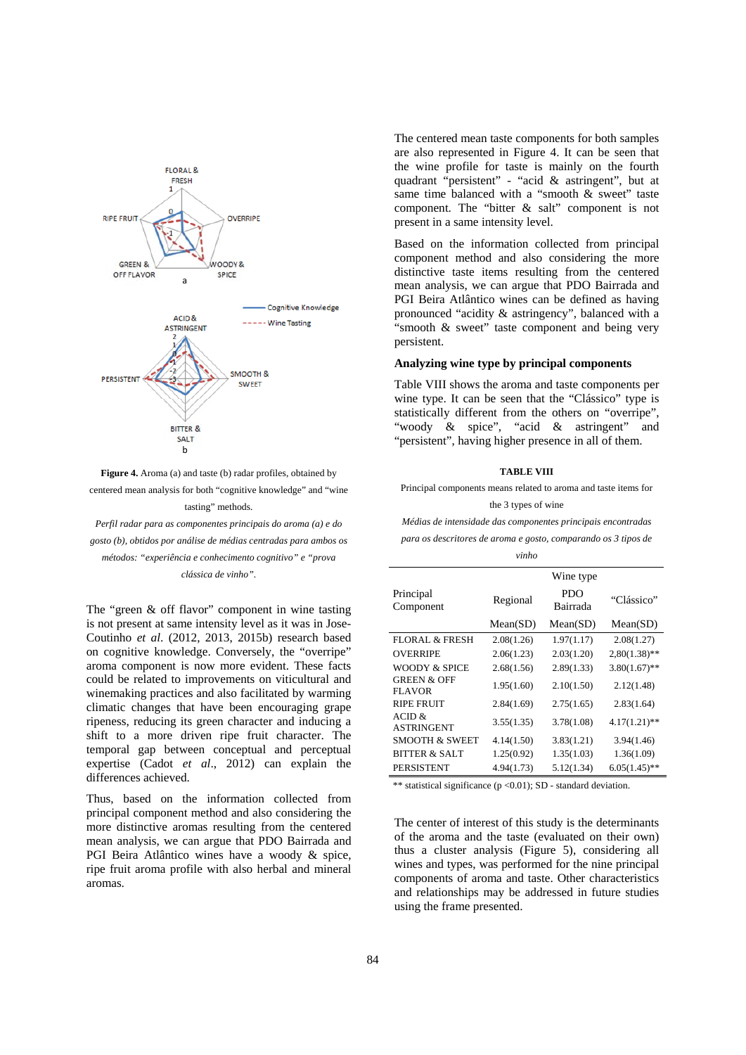

**Figure 4.** Aroma (a) and taste (b) radar profiles, obtained by centered mean analysis for both "cognitive knowledge" and "wine tasting" methods.

*Perfil radar para as componentes principais do aroma (a) e do gosto (b), obtidos por análise de médias centradas para ambos os métodos: "experiência e conhecimento cognitivo" e "prova clássica de vinho".* 

The "green & off flavor" component in wine tasting is not present at same intensity level as it was in Jose-Coutinho *et al*. (2012, 2013, 2015b) research based on cognitive knowledge. Conversely, the "overripe" aroma component is now more evident. These facts could be related to improvements on viticultural and winemaking practices and also facilitated by warming climatic changes that have been encouraging grape ripeness, reducing its green character and inducing a shift to a more driven ripe fruit character. The temporal gap between conceptual and perceptual expertise (Cadot *et al*., 2012) can explain the differences achieved.

Thus, based on the information collected from principal component method and also considering the more distinctive aromas resulting from the centered mean analysis, we can argue that PDO Bairrada and PGI Beira Atlântico wines have a woody & spice, ripe fruit aroma profile with also herbal and mineral aromas.

The centered mean taste components for both samples are also represented in Figure 4. It can be seen that the wine profile for taste is mainly on the fourth quadrant "persistent" - "acid & astringent", but at same time balanced with a "smooth & sweet" taste component. The "bitter & salt" component is not present in a same intensity level.

Based on the information collected from principal component method and also considering the more distinctive taste items resulting from the centered mean analysis, we can argue that PDO Bairrada and PGI Beira Atlântico wines can be defined as having pronounced "acidity & astringency", balanced with a "smooth & sweet" taste component and being very persistent.

## **Analyzing wine type by principal components**

Table VIII shows the aroma and taste components per wine type. It can be seen that the "Clássico" type is statistically different from the others on "overripe", "woody & spice", "acid & astringent" and "persistent", having higher presence in all of them.

#### **TABLE VIII**

Principal components means related to aroma and taste items for the 3 types of wine

*Médias de intensidade das componentes principais encontradas* 

*para os descritores de aroma e gosto, comparando os 3 tipos de vinho* 

|                                         |            | Wine type              |                 |
|-----------------------------------------|------------|------------------------|-----------------|
| Principal<br>Component                  | Regional   | <b>PDO</b><br>Bairrada | "Clássico"      |
|                                         | Mean(SD)   | Mean(SD)               | Mean(SD)        |
| <b>FLORAL &amp; FRESH</b>               | 2.08(1.26) | 1.97(1.17)             | 2.08(1.27)      |
| <b>OVERRIPE</b>                         | 2.06(1.23) | 2.03(1.20)             | $2,80(1.38)$ ** |
| WOODY & SPICE                           | 2.68(1.56) | 2.89(1.33)             | $3.80(1.67)$ ** |
| <b>GREEN &amp; OFF</b><br><b>FLAVOR</b> | 1.95(1.60) | 2.10(1.50)             | 2.12(1.48)      |
| <b>RIPE FRUIT</b>                       | 2.84(1.69) | 2.75(1.65)             | 2.83(1.64)      |
| ACID &<br><b>ASTRINGENT</b>             | 3.55(1.35) | 3.78(1.08)             | $4.17(1.21)$ ** |
| <b>SMOOTH &amp; SWEET</b>               | 4.14(1.50) | 3.83(1.21)             | 3.94(1.46)      |
| BITTER & SALT                           | 1.25(0.92) | 1.35(1.03)             | 1.36(1.09)      |
| <b>PERSISTENT</b>                       | 4.94(1.73) | 5.12(1.34)             | $6.05(1.45)$ ** |

\*\* statistical significance ( $p < 0.01$ ); SD - standard deviation.

The center of interest of this study is the determinants of the aroma and the taste (evaluated on their own) thus a cluster analysis (Figure 5), considering all wines and types, was performed for the nine principal components of aroma and taste. Other characteristics and relationships may be addressed in future studies using the frame presented.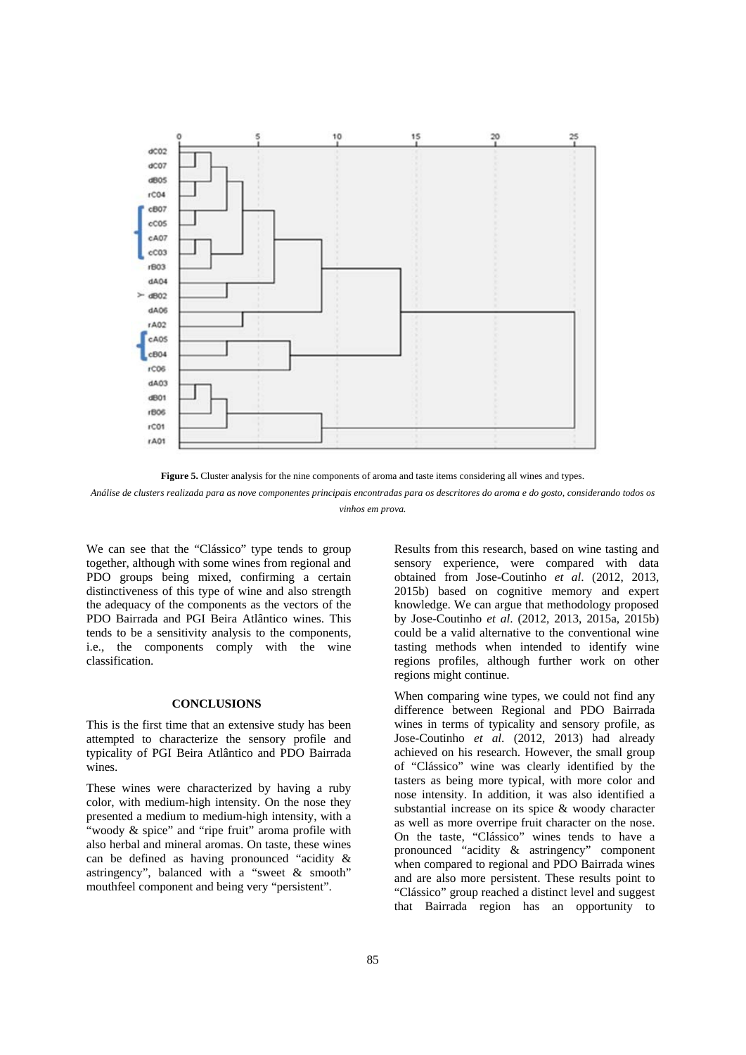

**Figure 5.** Cluster analysis for the nine components of aroma and taste items considering all wines and types.

*Análise de clusters realizada para as nove componentes principais encontradas para os descritores do aroma e do gosto, considerando todos os vinhos em prova.* 

We can see that the "Clássico" type tends to group together, although with some wines from regional and PDO groups being mixed, confirming a certain distinctiveness of this type of wine and also strength the adequacy of the components as the vectors of the PDO Bairrada and PGI Beira Atlântico wines. This tends to be a sensitivity analysis to the components, i.e., the components comply with the wine classification.

## **CONCLUSIONS**

This is the first time that an extensive study has been attempted to characterize the sensory profile and typicality of PGI Beira Atlântico and PDO Bairrada wines.

These wines were characterized by having a ruby color, with medium-high intensity. On the nose they presented a medium to medium-high intensity, with a "woody & spice" and "ripe fruit" aroma profile with also herbal and mineral aromas. On taste, these wines can be defined as having pronounced "acidity & astringency", balanced with a "sweet & smooth" mouthfeel component and being very "persistent".

Results from this research, based on wine tasting and sensory experience, were compared with data obtained from Jose-Coutinho *et al*. (2012, 2013, 2015b) based on cognitive memory and expert knowledge. We can argue that methodology proposed by Jose-Coutinho *et al*. (2012, 2013, 2015a, 2015b) could be a valid alternative to the conventional wine tasting methods when intended to identify wine regions profiles, although further work on other regions might continue.

When comparing wine types, we could not find any difference between Regional and PDO Bairrada wines in terms of typicality and sensory profile, as Jose-Coutinho *et al*. (2012, 2013) had already achieved on his research. However, the small group of "Clássico" wine was clearly identified by the tasters as being more typical, with more color and nose intensity. In addition, it was also identified a substantial increase on its spice & woody character as well as more overripe fruit character on the nose. On the taste, "Clássico" wines tends to have a pronounced "acidity & astringency" component when compared to regional and PDO Bairrada wines and are also more persistent. These results point to "Clássico" group reached a distinct level and suggest that Bairrada region has an opportunity to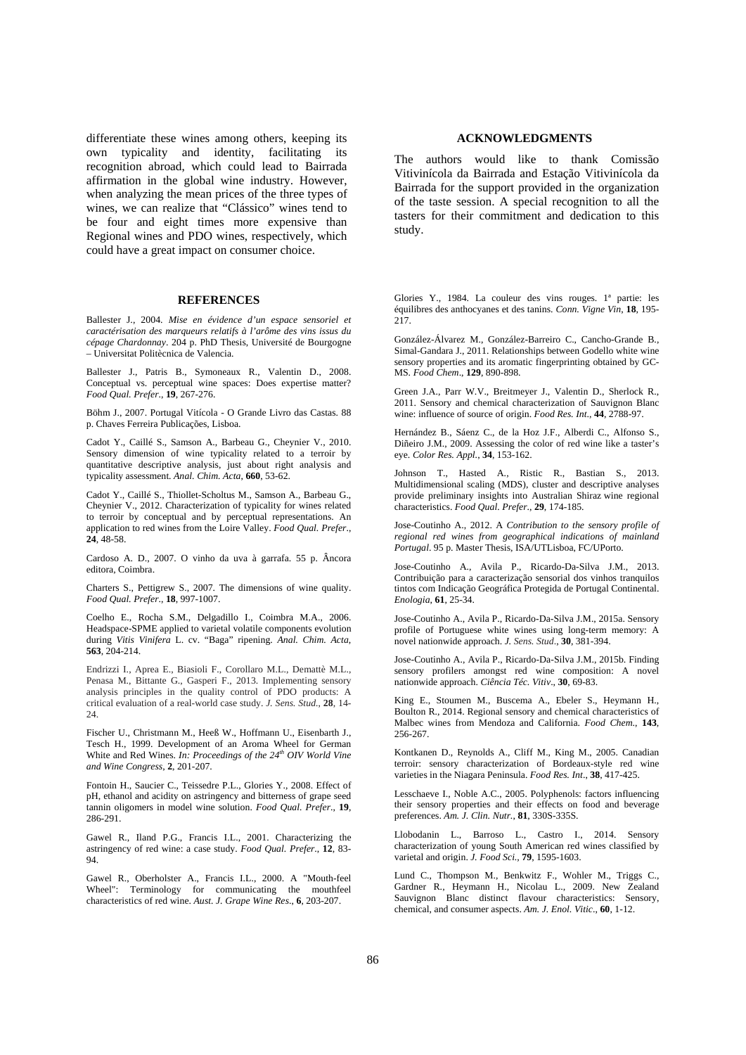differentiate these wines among others, keeping its own typicality and identity, facilitating its recognition abroad, which could lead to Bairrada affirmation in the global wine industry. However, when analyzing the mean prices of the three types of wines, we can realize that "Clássico" wines tend to be four and eight times more expensive than Regional wines and PDO wines, respectively, which could have a great impact on consumer choice.

## **REFERENCES**

Ballester J., 2004. *Mise en évidence d'un espace sensoriel et caractérisation des marqueurs relatifs à l'arôme des vins issus du cépage Chardonnay*. 204 p. PhD Thesis, Université de Bourgogne – Universitat Politècnica de Valencia.

Ballester J., Patris B., Symoneaux R., Valentin D., 2008. Conceptual vs. perceptual wine spaces: Does expertise matter? *Food Qual. Prefer*., **19**, 267-276.

Böhm J., 2007. Portugal Vitícola - O Grande Livro das Castas. 88 p. Chaves Ferreira Publicações, Lisboa.

Cadot Y., Caillé S., Samson A., Barbeau G., Cheynier V., 2010. Sensory dimension of wine typicality related to a terroir by quantitative descriptive analysis, just about right analysis and typicality assessment. *Anal. Chim. Acta*, **660**, 53-62.

Cadot Y., Caillé S., Thiollet-Scholtus M., Samson A., Barbeau G., Cheynier V., 2012. Characterization of typicality for wines related to terroir by conceptual and by perceptual representations. An application to red wines from the Loire Valley. *Food Qual. Prefer*., **24**, 48-58.

Cardoso A. D., 2007. O vinho da uva à garrafa. 55 p. Âncora editora, Coimbra.

Charters S., Pettigrew S., 2007. The dimensions of wine quality. *Food Qual. Prefer*., **18**, 997-1007.

Coelho E., Rocha S.M., Delgadillo I., Coimbra M.A., 2006. Headspace-SPME applied to varietal volatile components evolution during *Vitis Vinifera* L. cv. "Baga" ripening. *Anal. Chim. Acta*, **563**, 204-214.

Endrizzi I., Aprea E., Biasioli F., Corollaro M.L., Demattè M.L., Penasa M., Bittante G., Gasperi F., 2013. Implementing sensory analysis principles in the quality control of PDO products: A critical evaluation of a real-world case study. *J. Sens. Stud.*, **28**, 14- 24.

Fischer U., Christmann M., Heeß W., Hoffmann U., Eisenbarth J., Tesch H., 1999. Development of an Aroma Wheel for German White and Red Wines. *In: Proceedings of the 24<sup>th</sup> OIV World Vine and Wine Congress*, **2**, 201-207.

Fontoin H., Saucier C., Teissedre P.L., Glories Y., 2008. Effect of pH, ethanol and acidity on astringency and bitterness of grape seed tannin oligomers in model wine solution. *Food Qual. Prefer*., **19**, 286-291.

Gawel R., Iland P.G., Francis I.L., 2001. Characterizing the astringency of red wine: a case study. *Food Qual. Prefer*., **12**, 83- 94.

Gawel R., Oberholster A., Francis I.L., 2000. A "Mouth-feel Wheel": Terminology for communicating the mouthfeel characteristics of red wine. *Aust. J. Grape Wine Res*., **6**, 203-207.

## **ACKNOWLEDGMENTS**

The authors would like to thank Comissão Vitivinícola da Bairrada and Estação Vitivinícola da Bairrada for the support provided in the organization of the taste session. A special recognition to all the tasters for their commitment and dedication to this study.

Glories Y., 1984. La couleur des vins rouges. 1ª partie: les équilibres des anthocyanes et des tanins. *Conn. Vigne Vin*, **18**, 195- 217.

González-Álvarez M., González-Barreiro C., Cancho-Grande B., Simal-Gandara J., 2011. Relationships between Godello white wine sensory properties and its aromatic fingerprinting obtained by GC-MS. *Food Chem*., **129**, 890-898.

Green J.A., Parr W.V., Breitmeyer J., Valentin D., Sherlock R., 2011. Sensory and chemical characterization of Sauvignon Blanc wine: influence of source of origin. *Food Res. Int*., **44**, 2788-97.

Hernández B., Sáenz C., de la Hoz J.F., Alberdi C., Alfonso S., Diñeiro J.M., 2009. Assessing the color of red wine like a taster's eye. *Color Res. Appl.*, **34**, 153-162.

Johnson T., Hasted A., Ristic R., Bastian S., 2013. Multidimensional scaling (MDS), cluster and descriptive analyses provide preliminary insights into Australian Shiraz wine regional characteristics. *Food Qual. Prefer*., **29**, 174-185.

Jose-Coutinho A., 2012. A *Contribution to the sensory profile of regional red wines from geographical indications of mainland Portugal*. 95 p. Master Thesis, ISA/UTLisboa, FC/UPorto.

Jose-Coutinho A., Avila P., Ricardo-Da-Silva J.M., 2013. Contribuição para a caracterização sensorial dos vinhos tranquilos tintos com Indicação Geográfica Protegida de Portugal Continental. *Enologia*, **61**, 25-34.

Jose-Coutinho A., Avila P., Ricardo-Da-Silva J.M., 2015a. Sensory profile of Portuguese white wines using long-term memory: A novel nationwide approach. *J. Sens. Stud*., **30**, 381-394.

Jose-Coutinho A., Avila P., Ricardo-Da-Silva J.M., 2015b. Finding sensory profilers amongst red wine composition: A novel nationwide approach. *Ciência Téc. Vitiv*., **30**, 69-83.

King E., Stoumen M., Buscema A., Ebeler S., Heymann H., Boulton R., 2014. Regional sensory and chemical characteristics of Malbec wines from Mendoza and California. *Food Chem*., **143**, 256-267.

Kontkanen D., Reynolds A., Cliff M., King M., 2005. Canadian terroir: sensory characterization of Bordeaux-style red wine varieties in the Niagara Peninsula. *Food Res. Int*., **38**, 417-425.

Lesschaeve I., Noble A.C., 2005. Polyphenols: factors influencing their sensory properties and their effects on food and beverage preferences. *Am. J. Clin. Nutr.*, **81**, 330S-335S.

Llobodanin L., Barroso L., Castro I., 2014. Sensory characterization of young South American red wines classified by varietal and origin. *J. Food Sci.,* **79**, 1595-1603.

Lund C., Thompson M., Benkwitz F., Wohler M., Triggs C., Gardner R., Heymann H., Nicolau L., 2009. New Zealand Sauvignon Blanc distinct flavour characteristics: Sensory, chemical, and consumer aspects. *Am. J. Enol. Vitic*., **60**, 1-12.